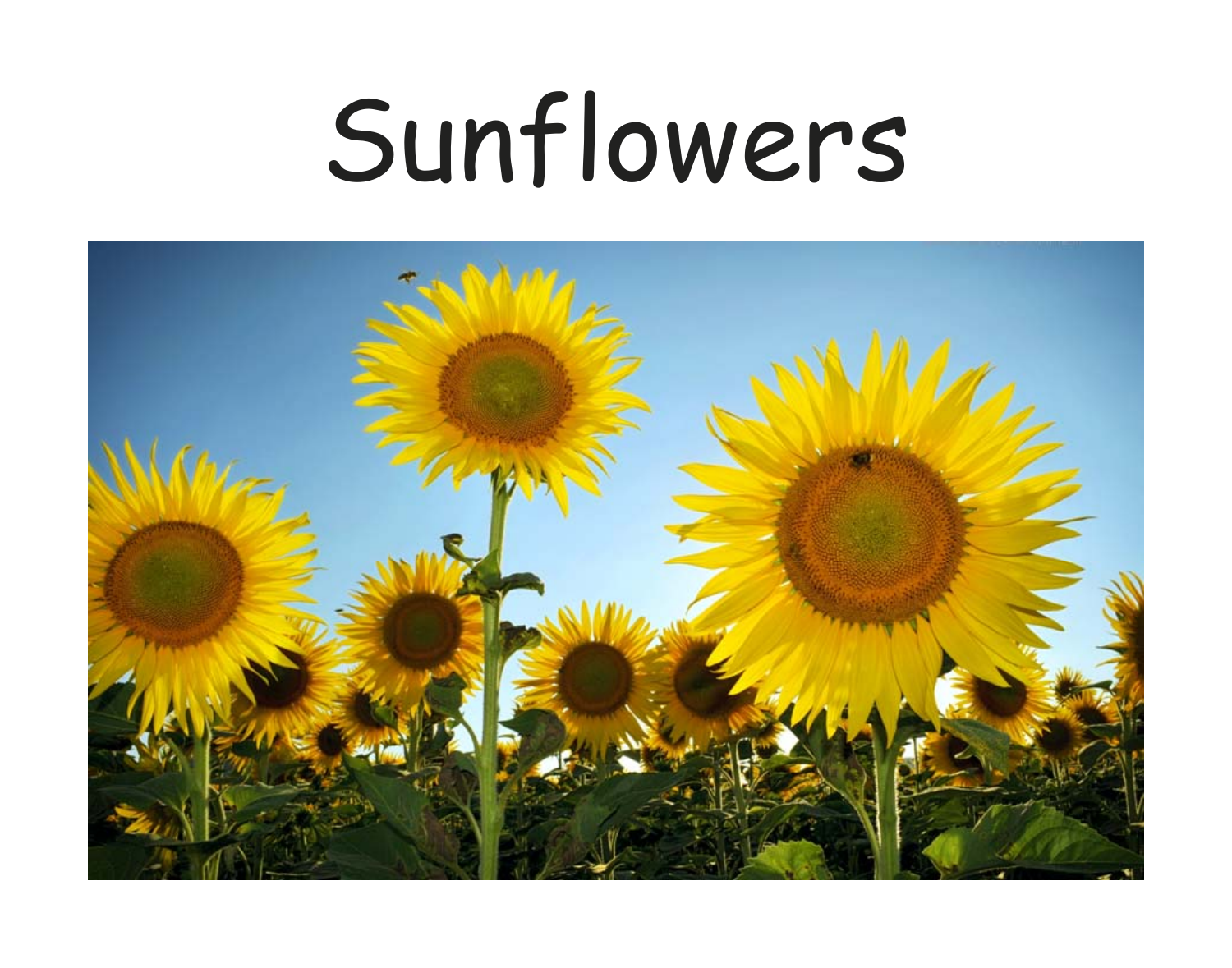## Sunflowers

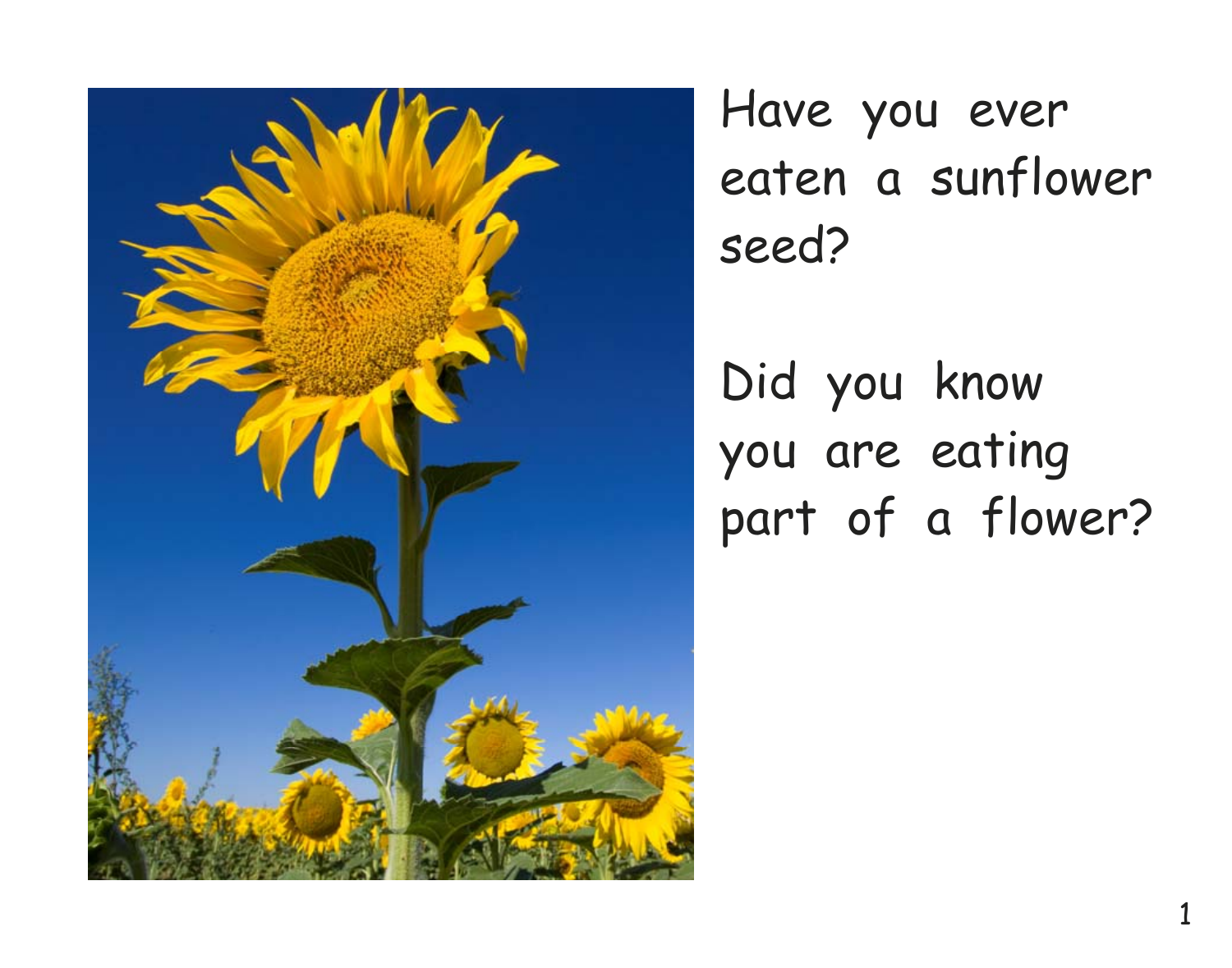

Have you ever eaten a sunflower seed?

Did you know you are eating part of a flower?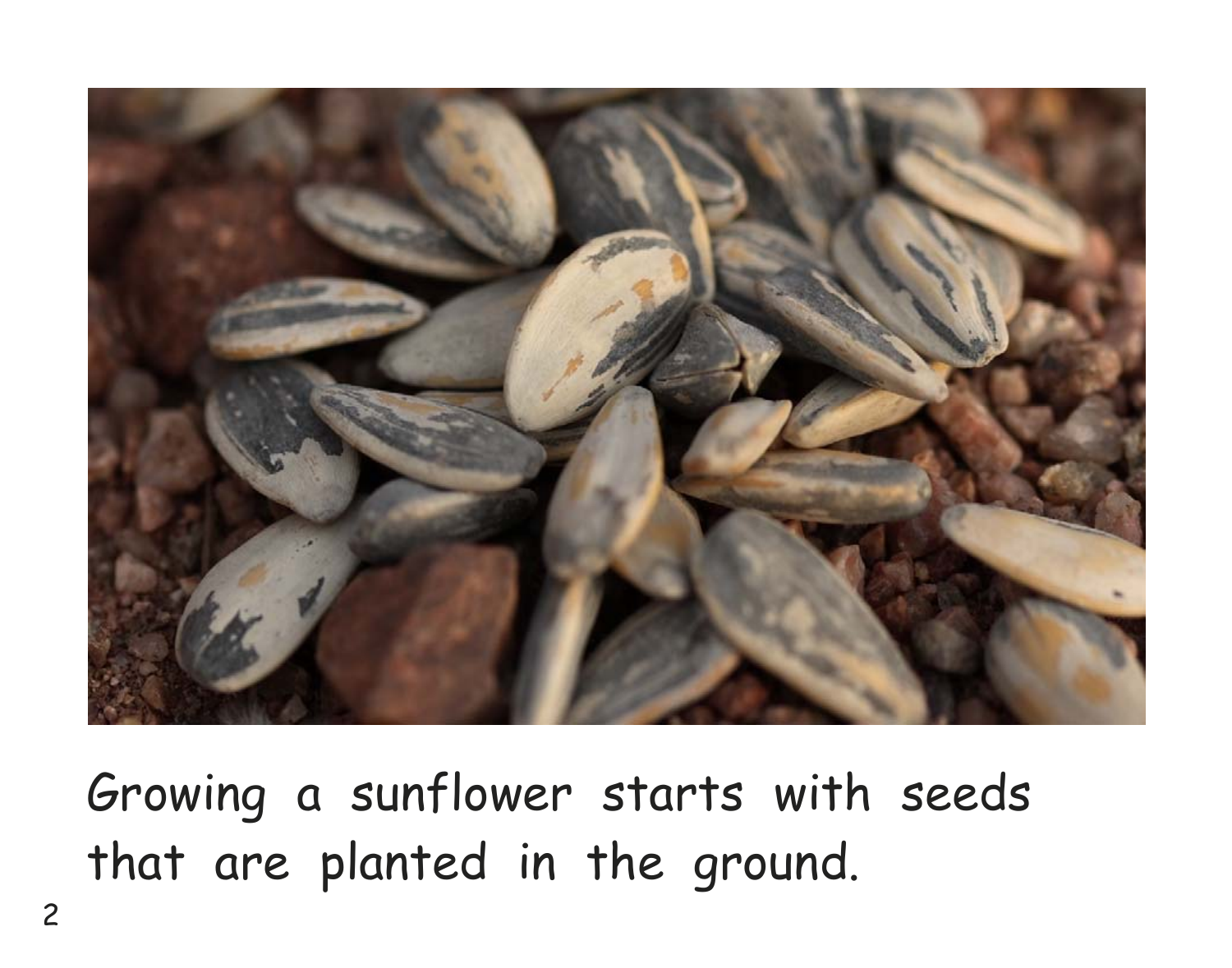

Growing a sunflower starts with seeds that are planted in the ground.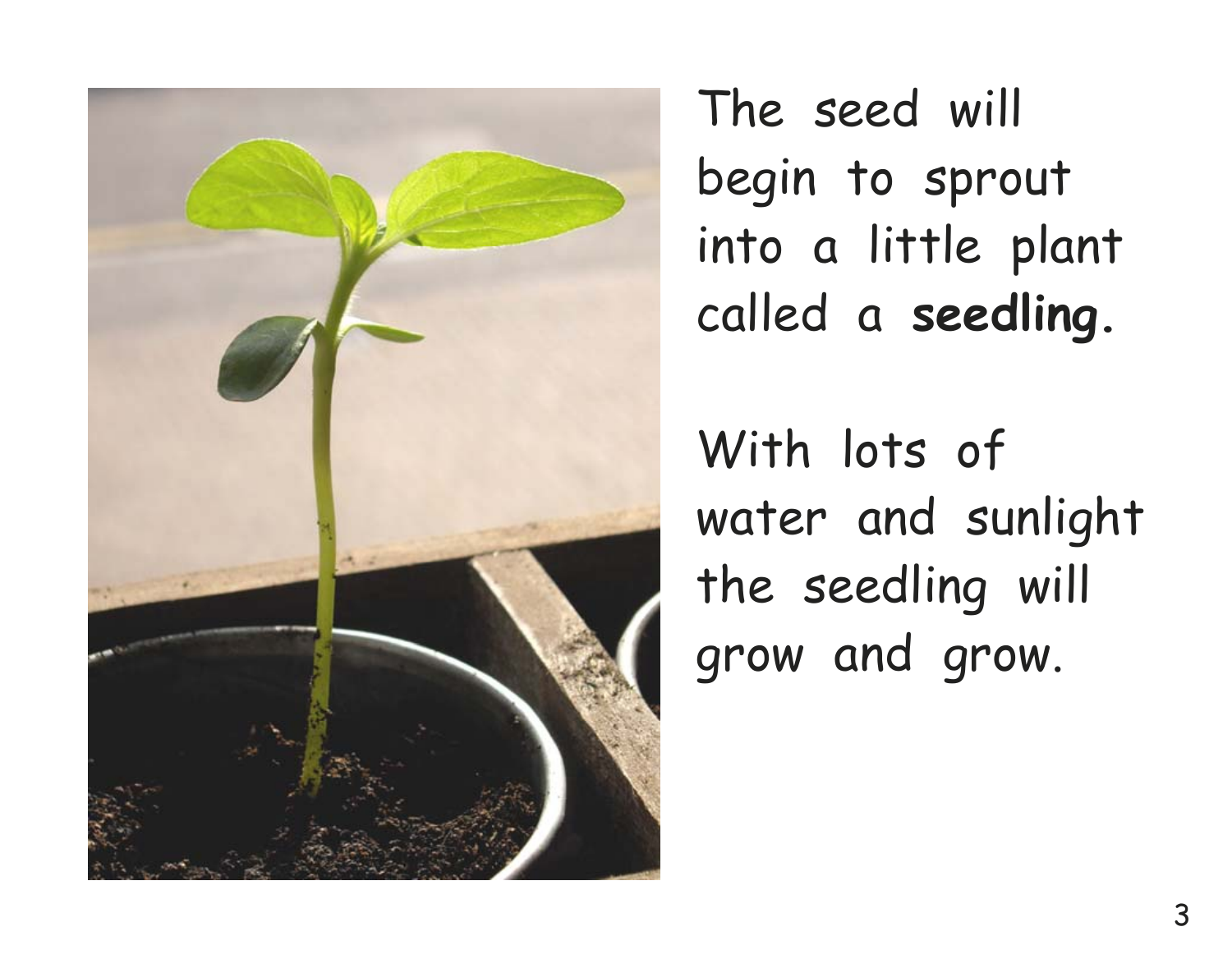

The seed will begin to sprout into a little plant called a **seedling.** 

With lots of water and sunlight the seedling will grow and grow.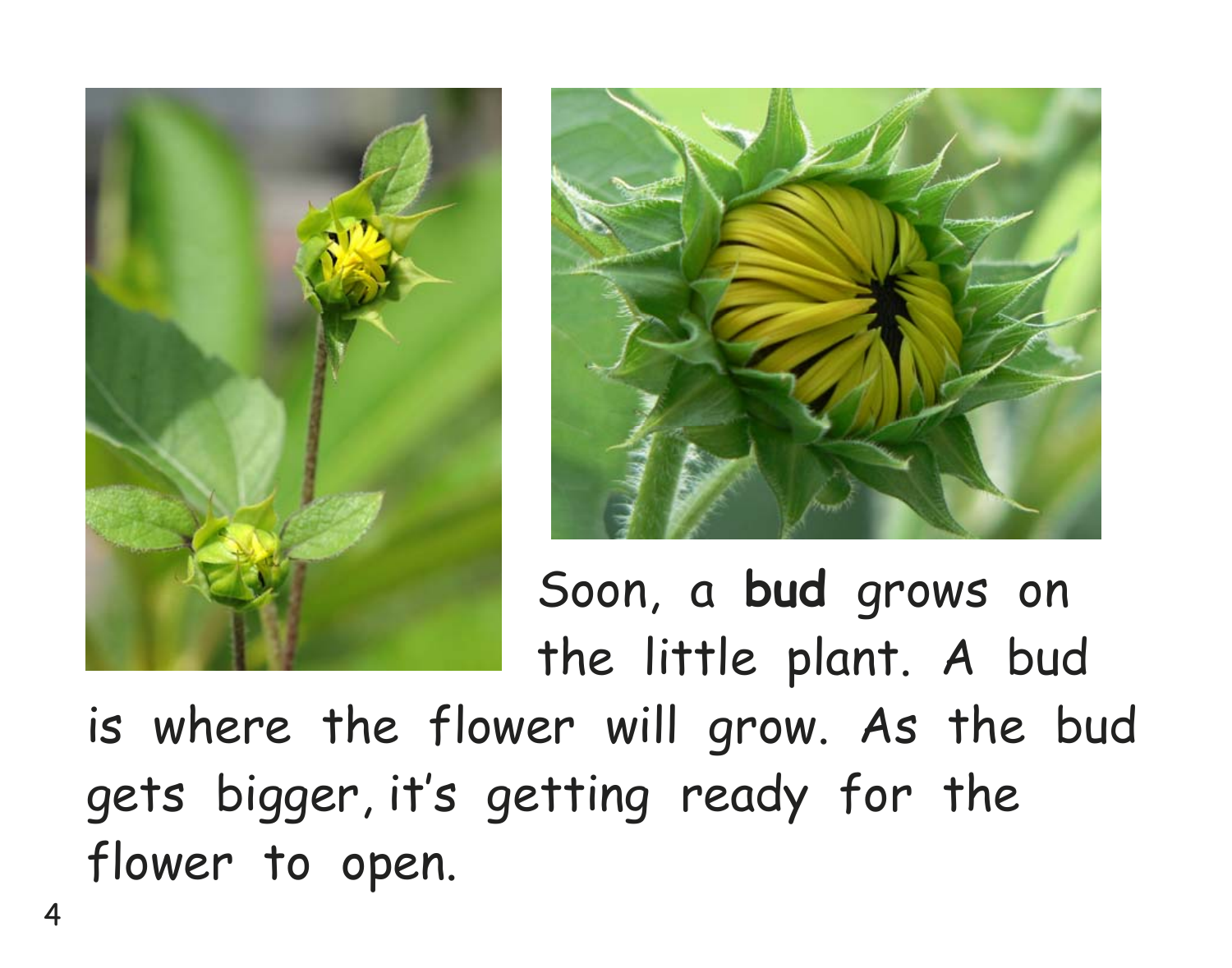



 Soon, a **bud** grows on the little plant. A bud

is where the flower will grow. As the bud gets bigger, it's getting ready for the flower to open.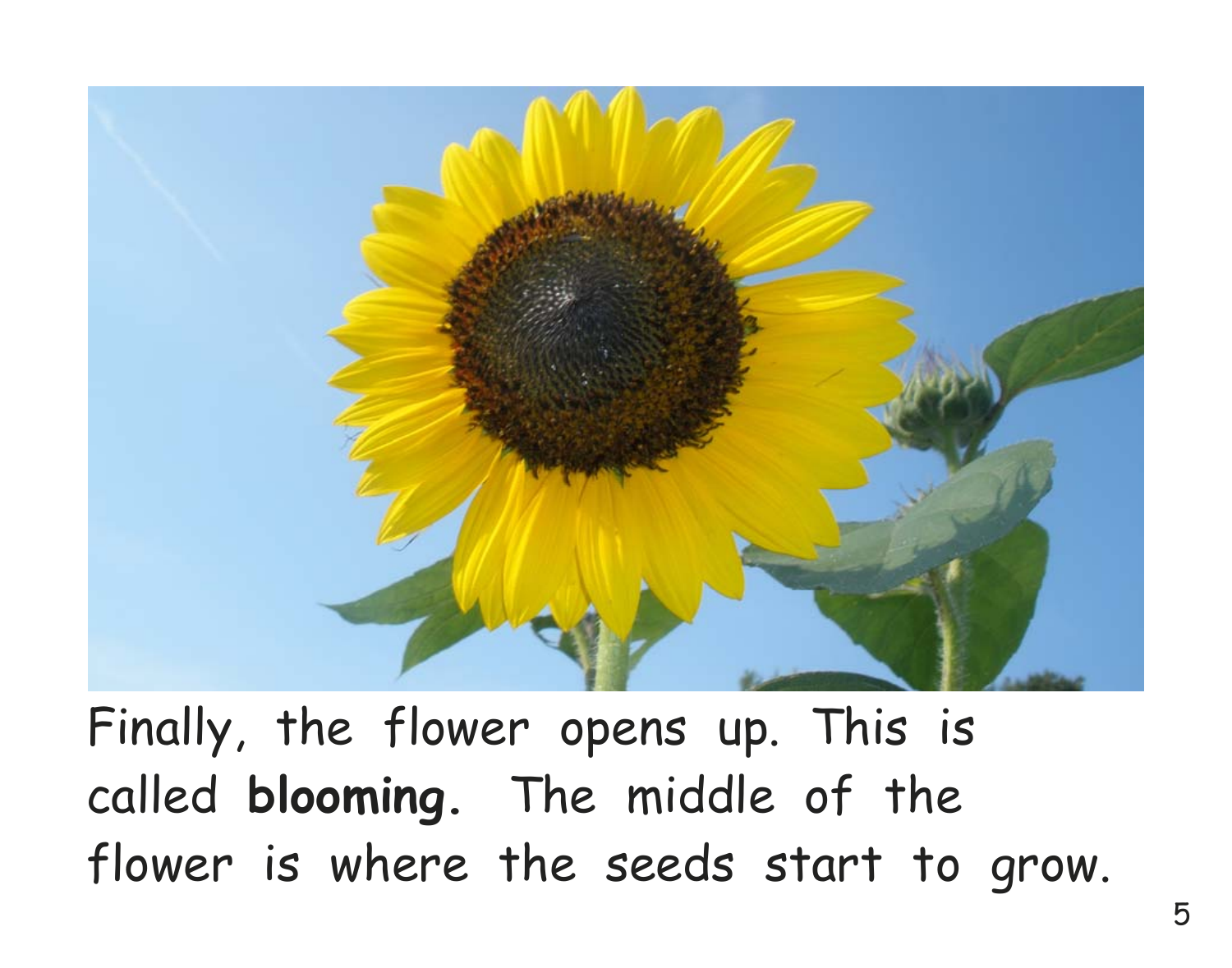

Finally, the flower opens up. This is called **blooming.** The middle of the flower is where the seeds start to grow.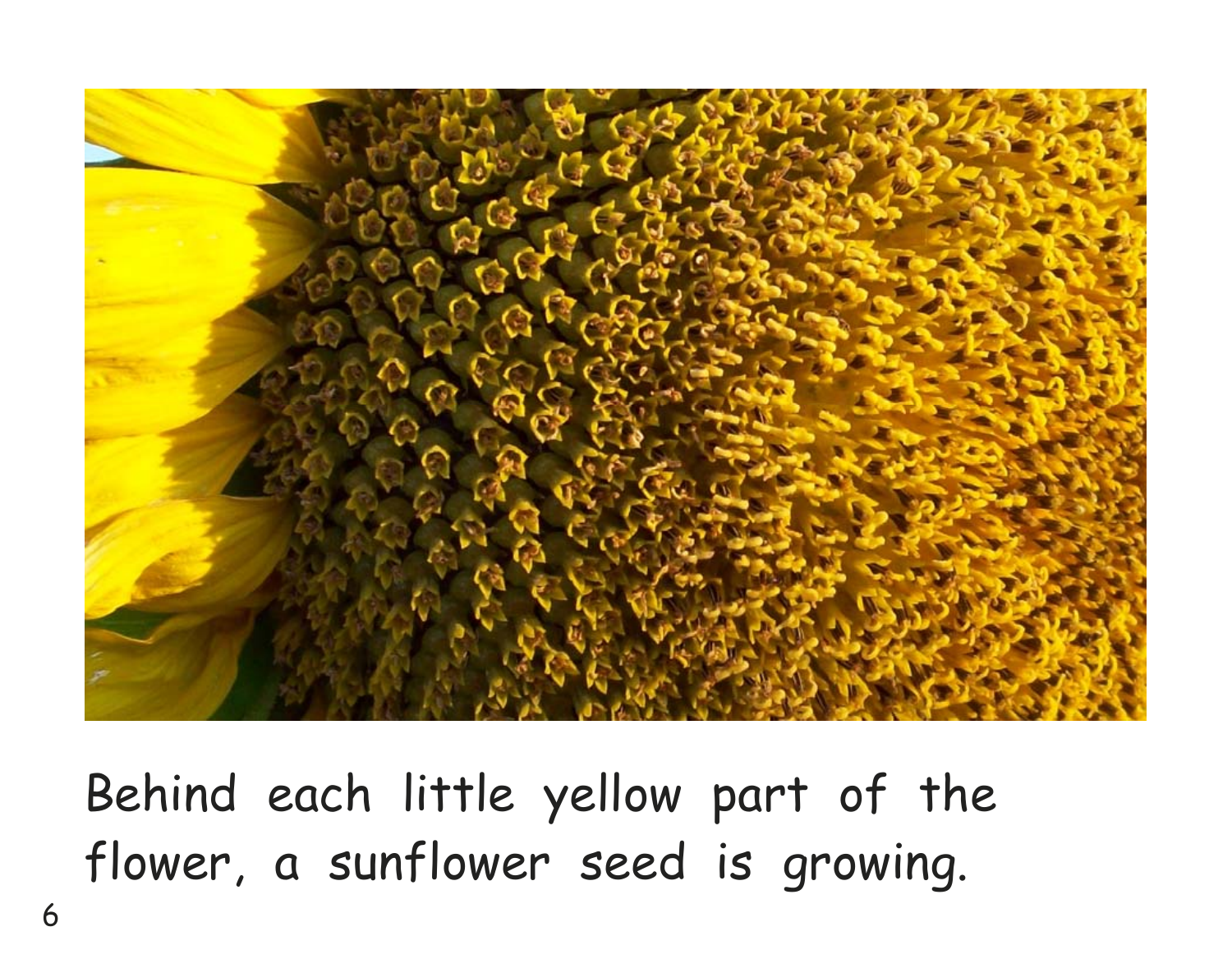

Behind each little yellow part of the flower, a sunflower seed is growing.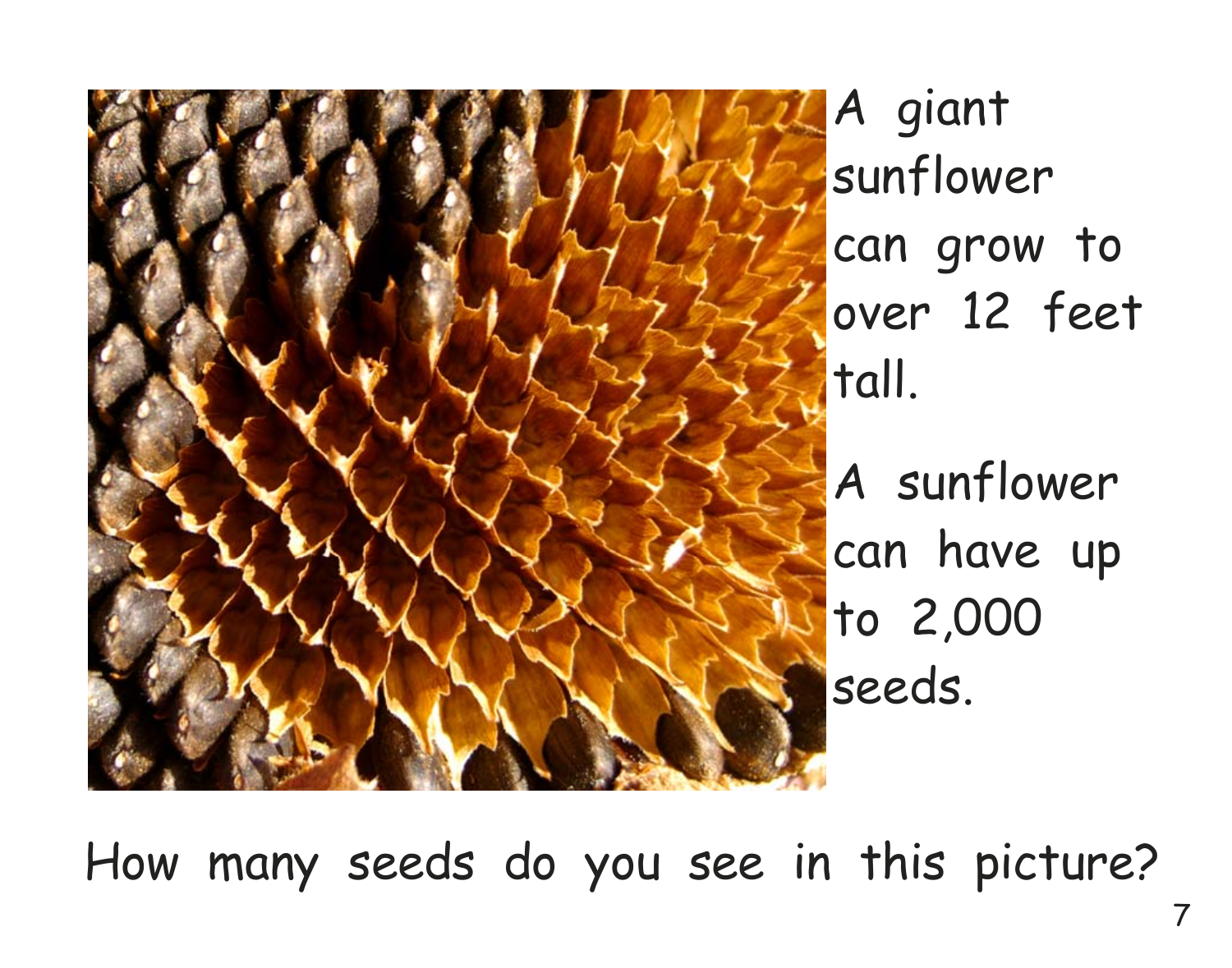

How many seeds do you see in this picture?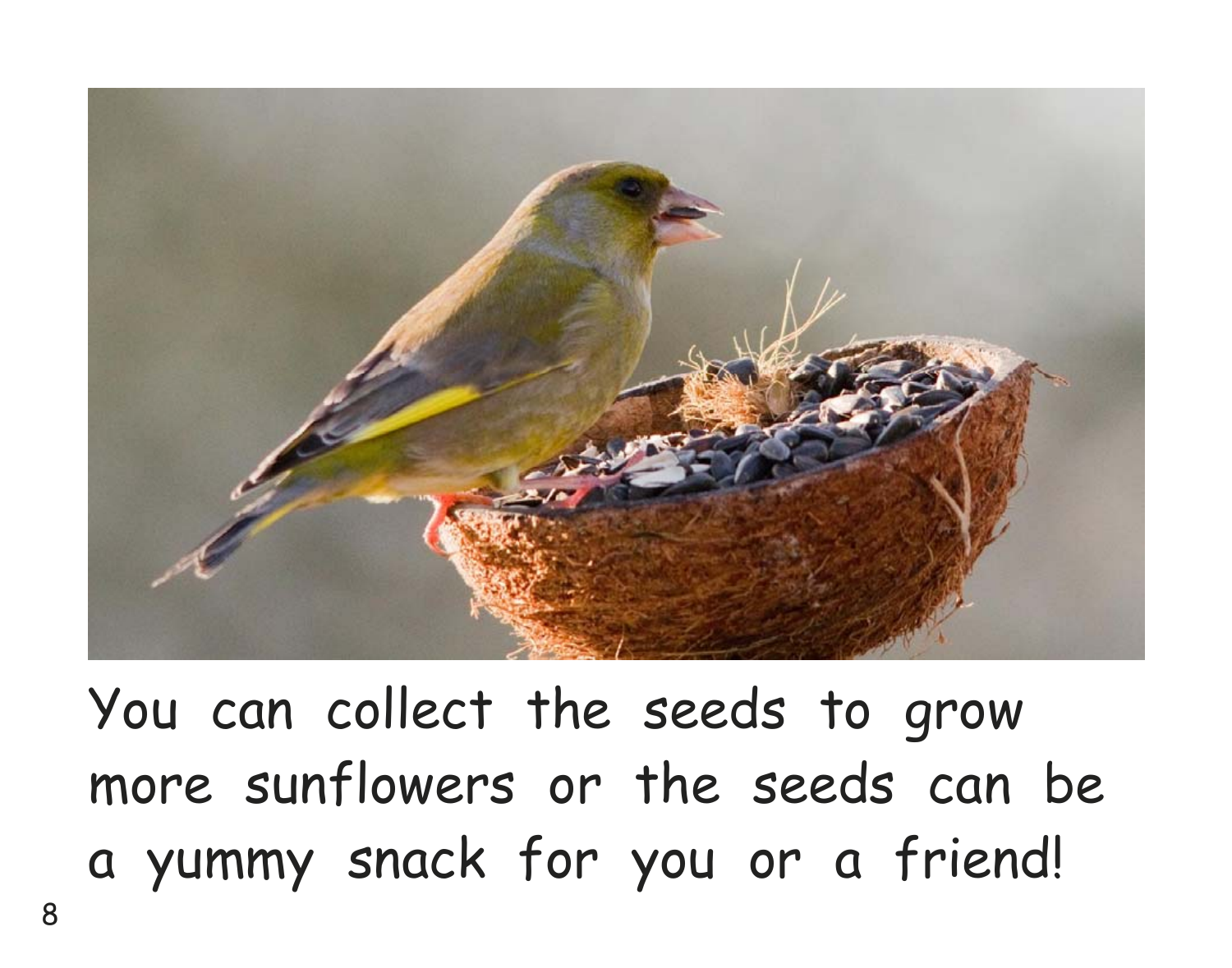

You can collect the seeds to grow more sunflowers or the seeds can be a yummy snack for you or a friend!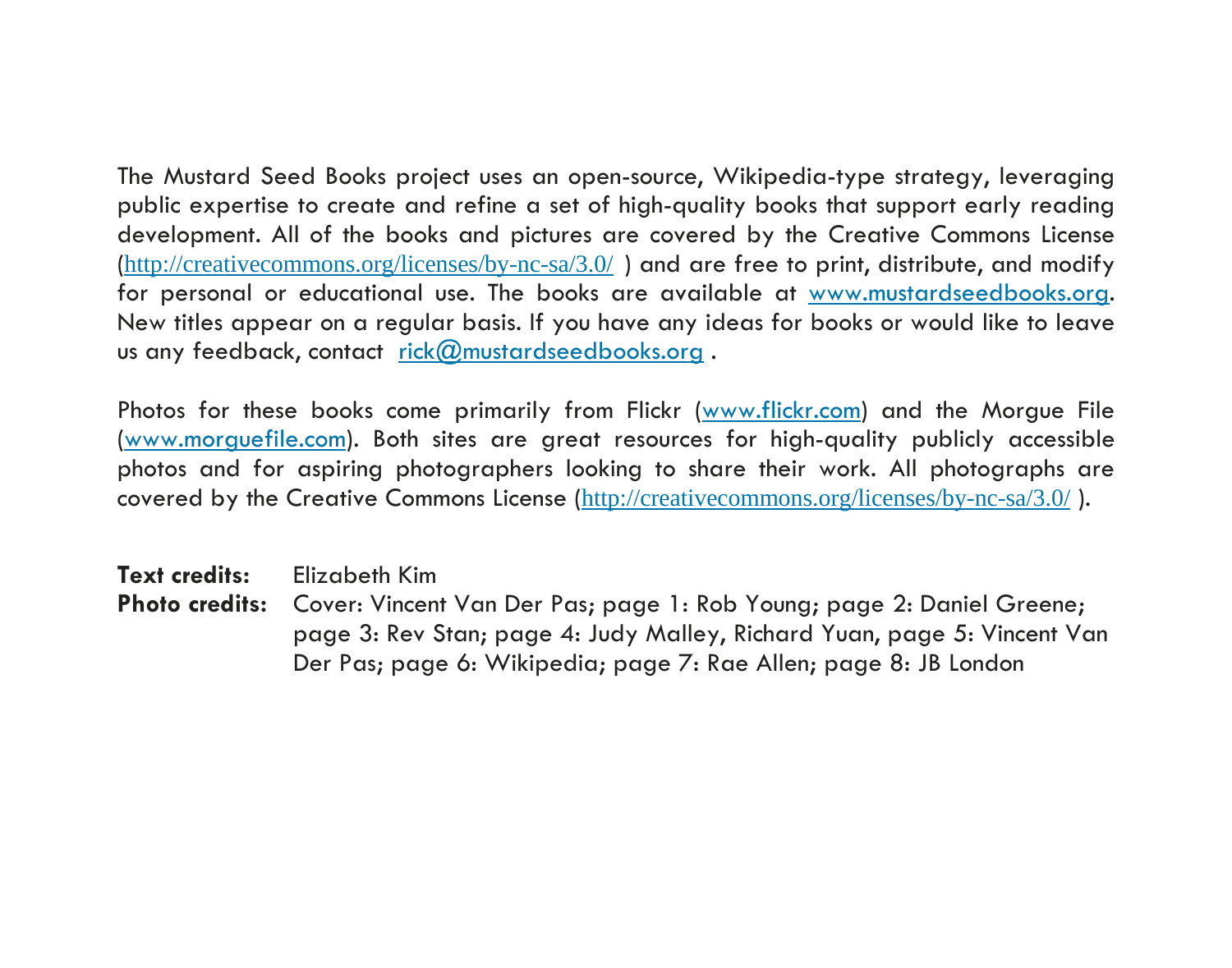The Mustard Seed Books project uses an open-source, Wikipedia-type strategy, leveraging public expertise to create and refine a set of high-quality books that support early reading development. All of the books and pictures are covered by the Creative Commons License (http://creativecommons.org/licenses/by-nc-sa/3.0/ ) and are free to print, distribute, and modify for personal or educational use. The books are available at www.mustardseedbooks.org. New titles appear on a regular basis. If you have any ideas for books or would like to leave us any feedback, contact rick@mustardseedbooks.org.

Photos for these books come primarily from Flickr (www.flickr.com) and the Morgue File (www.morguefile.com). Both sites are great resources for high-quality publicly accessible photos and for aspiring photographers looking to share their work. All photographs are covered by the Creative Commons License (http://creativecommons.org/licenses/by-nc-sa/3.0/ ).

**Text credits:** Elizabeth Kim

**Photo credits:** Cover: Vincent Van Der Pas; page 1: Rob Young; page 2: Daniel Greene; page 3: Rev Stan; page 4: Judy Malley, Richard Yuan, page 5: Vincent Van Der Pas; page 6: Wikipedia; page 7: Rae Allen; page 8: JB London